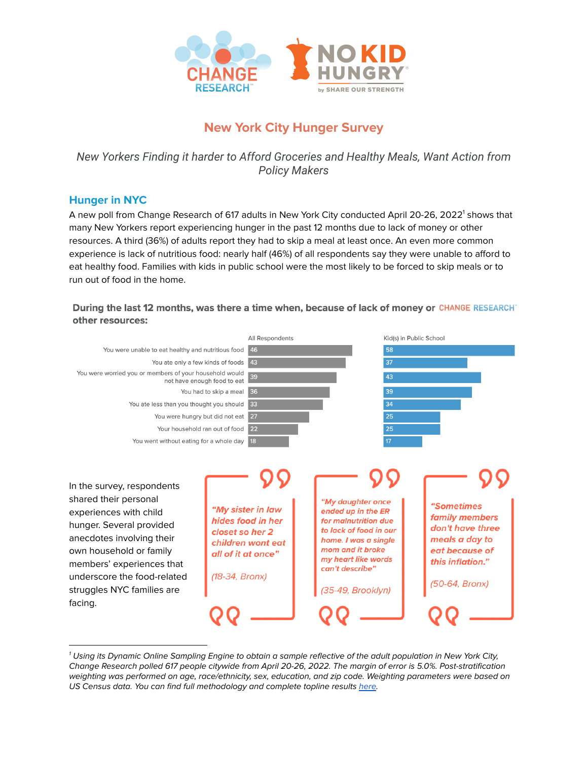

# **New York City Hunger Survey**

*New Yorkers Finding it harder to Afford Groceries and Healthy Meals, Want Action from Policy Makers*

## **Hunger in NYC**

A new poll from Change Research of 617 adults in New York City conducted April 20-26, 2022<sup>1</sup> shows that many New Yorkers report experiencing hunger in the past 12 months due to lack of money or other resources. A third (36%) of adults report they had to skip a meal at least once. An even more common experience is lack of nutritious food: nearly half (46%) of all respondents say they were unable to afford to eat healthy food. Families with kids in public school were the most likely to be forced to skip meals or to run out of food in the home.

During the last 12 months, was there a time when, because of lack of money or CHANGE RESEARCH" other resources:



 $1$  Using its Dynamic Online Sampling Engine to obtain a sample reflective of the adult population in New York City, Change Research polled 617 people citywide from April 20-26, 2022. The margin of error is 5.0%. Post-stratification weighting was performed on age, race/ethnicity, sex, education, and zip code. Weighting parameters were based on US Census data. You can find full methodology and complete topline results [here](https://nam04.safelinks.protection.outlook.com/?url=https%3A%2F%2Fmailtrack.io%2Ftrace%2Flink%2Fa07120e5de0fb06ddfb099adcede0b1679eebadb%3Furl%3Dhttps%253A%252F%252Fchangeresearch.com%252Fwp-content%252Fuploads%252F2022%252F05%252FApril-2022-No-Kid-Hungry-NY-_-Toplines-Methodology.pdf%26userId%3D5446437%26signature%3D8a07db7bff5b2495&data=05%7C01%7Cjelsemore%40strength.org%7C60c1110a642c4833595a08da2d30543a%7Ccd5df591b48b4168a719a3233c2fbba4%7C1%7C1%7C637871982877985308%7CUnknown%7CTWFpbGZsb3d8eyJWIjoiMC4wLjAwMDAiLCJQIjoiV2luMzIiLCJBTiI6Ik1haWwiLCJXVCI6Mn0%3D%7C3000%7C%7C%7C&sdata=Gi0k2Ke2gHrysqFyd39%2FB2t4WHA7p4Wuf%2FN1tP0y5vg%3D&reserved=0).